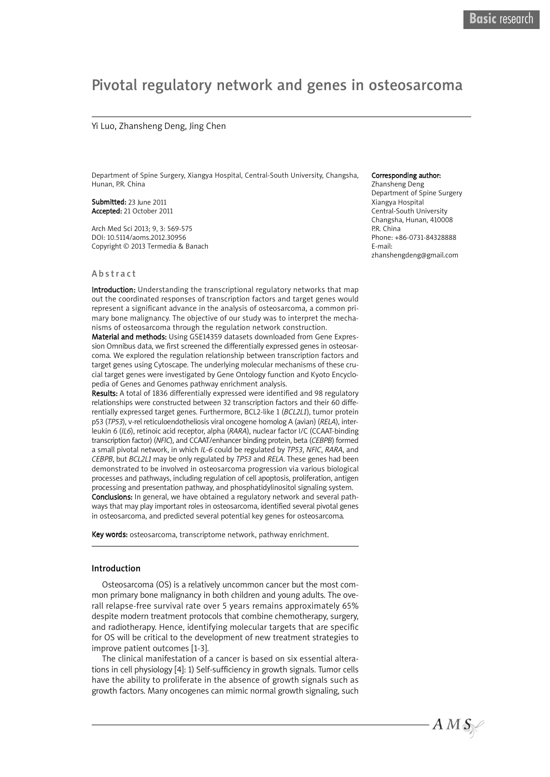# Pivotal regulatory network and genes in osteosarcoma

#### Yi Luo, Zhansheng Deng, Jing Chen

Department of Spine Surgery, Xiangya Hospital, Central-South University, Changsha, Hunan, P.R. China

Submitted: 23 June 2011 Accepted: 21 October 2011

Arch Med Sci 2013; 9, 3: 569-575 DOI: 10.5114/aoms.2012.30956 Copyright © 2013 Termedia & Banach

#### A b s tr a c t

Introduction: Understanding the transcriptional regulatory networks that map out the coordinated responses of transcription factors and target genes would represent a significant advance in the analysis of osteosarcoma, a common primary bone malignancy. The objective of our study was to interpret the mechanisms of osteosarcoma through the regulation network construction.

Material and methods: Using GSE14359 datasets downloaded from Gene Expression Omnibus data, we first screened the differentially expressed genes in osteosarcoma. We explored the regulation relationship between transcription factors and target genes using Cytoscape. The underlying molecular mechanisms of these crucial target genes were investigated by Gene Ontology function and Kyoto Encyclopedia of Genes and Genomes pathway enrichment analysis.

Results: A total of 1836 differentially expressed were identified and 98 regulatory relationships were constructed between 32 transcription factors and their 60 differentially expressed target genes. Furthermore, BCL2-like 1 (*BCL2L1*), tumor protein p53 (*TP53*), v-rel reticuloendotheliosis viral oncogene homolog A (avian) (*RELA*), interleukin 6 (*IL6*), retinoic acid receptor, alpha (*RARA*), nuclear factor I/C (CCAAT-binding transcription factor) (*NFIC*), and CCAAT/enhancer binding protein, beta (*CEBPB*) formed a small pivotal network, in which *IL-6* could be regulated by *TP53*, *NFIC*, *RARA*, and *CEBPB*, but *BCL2L1* may be only regulated by *TP53* and *RELA*. These genes had been demonstrated to be involved in osteosarcoma progression via various biological processes and pathways, including regulation of cell apoptosis, proliferation, antigen processing and presentation pathway, and phosphatidylinositol signaling system. **Conclusions:** In general, we have obtained a regulatory network and several pathways that may play important roles in osteosarcoma, identified several pivotal genes in osteosarcoma, and predicted several potential key genes for osteosarcoma.

Key words: osteosarcoma, transcriptome network, pathway enrichment.

#### Introduction

Osteosarcoma (OS) is a relatively uncommon cancer but the most common primary bone malignancy in both children and young adults. The overall relapse-free survival rate over 5 years remains approximately 65% despite modern treatment protocols that combine chemotherapy, surgery, and radiotherapy. Hence, identifying molecular targets that are specific for OS will be critical to the development of new treatment strategies to improve patient outcomes [1-3].

The clinical manifestation of a cancer is based on six essential alterations in cell physiology [4]: 1) Self-sufficiency in growth signals. Tumor cells have the ability to proliferate in the absence of growth signals such as growth factors. Many oncogenes can mimic normal growth signaling, such

#### Corresponding author:

Zhansheng Deng Department of Spine Surgery Xiangya Hospital Central-South University Changsha, Hunan, 410008 P.R. China Phone: +86-0731-84328888 E-mail: zhanshengdeng@gmail.com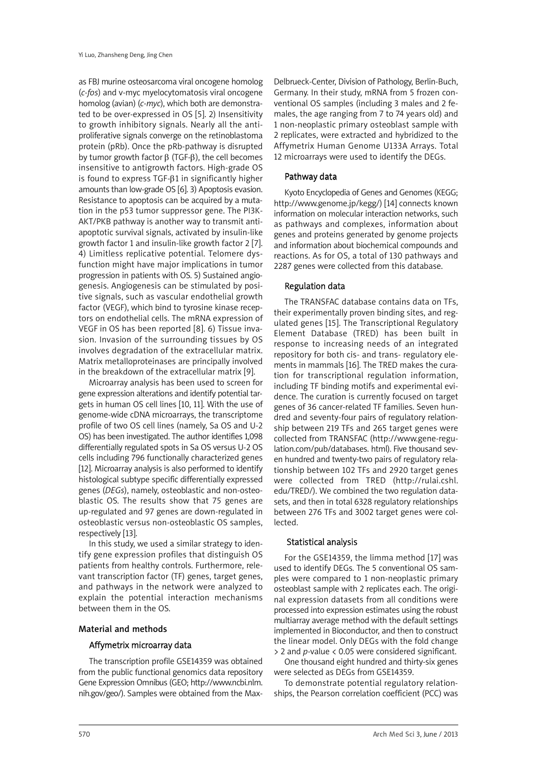as FBJ murine osteosarcoma viral oncogene homolog (*c-fos*) and v-myc myelocytomatosis viral oncogene homolog (avian) (*c-myc*), which both are demonstrated to be over-expressed in OS [5]. 2) Insensitivity to growth inhibitory signals. Nearly all the antiproliferative signals converge on the retinoblastoma protein (pRb). Once the pRb-pathway is disrupted by tumor growth factor  $β$  (TGF- $β$ ), the cell becomes insensitive to antigrowth factors. High-grade OS is found to express TGF-β1 in significantly higher amounts than low-grade OS [6]. 3) Apoptosis evasion. Resistance to apoptosis can be acquired by a mutation in the p53 tumor suppressor gene. The PI3K-AKT/PKB pathway is another way to transmit antiapoptotic survival signals, activated by insulin-like growth factor 1 and insulin-like growth factor 2 [7]. 4) Limitless replicative potential. Telomere dysfunction might have major implications in tumor progression in patients with OS. 5) Sustained angiogenesis. Angiogenesis can be stimulated by positive signals, such as vascular endothelial growth factor (VEGF), which bind to tyrosine kinase receptors on endothelial cells. The mRNA expression of VEGF in OS has been reported [8]. 6) Tissue invasion. Invasion of the surrounding tissues by OS involves degradation of the extracellular matrix. Matrix metalloproteinases are principally involved in the breakdown of the extracellular matrix [9].

Microarray analysis has been used to screen for gene expression alterations and identify potential targets in human OS cell lines [10, 11]. With the use of genome-wide cDNA microarrays, the transcriptome profile of two OS cell lines (namely, Sa OS and U-2 OS) has been investigated. The author identifies 1,098 differentially regulated spots in Sa OS versus U-2 OS cells including 796 functionally characterized genes [12]. Microarray analysis is also performed to identify histological subtype specific differentially expressed genes (*DEGs*), namely, osteoblastic and non-osteoblastic OS. The results show that 75 genes are up-regulated and 97 genes are down-regulated in osteoblastic versus non-osteoblastic OS samples, respectively [13].

In this study, we used a similar strategy to identify gene expression profiles that distinguish OS patients from healthy controls. Furthermore, relevant transcription factor (TF) genes, target genes, and pathways in the network were analyzed to explain the potential interaction mechanisms between them in the OS.

# Material and methods

# Affymetrix microarray data

The transcription profile GSE14359 was obtained from the public functional genomics data repository Gene Expression Omnibus (GEO; http://www.ncbi.nlm. nih.gov/geo/). Samples were obtained from the Max-

Delbrueck-Center, Division of Pathology, Berlin-Buch, Germany. In their study, mRNA from 5 frozen conventional OS samples (including 3 males and 2 females, the age ranging from 7 to 74 years old) and 1 non-neoplastic primary osteoblast sample with 2 replicates, were extracted and hybridized to the Affymetrix Human Genome U133A Arrays. Total 12 microarrays were used to identify the DEGs.

# Pathway data

Kyoto Encyclopedia of Genes and Genomes (KEGG; http://www.genome.jp/kegg/) [14] connects known information on molecular interaction networks, such as pathways and complexes, information about genes and proteins generated by genome projects and information about biochemical compounds and reactions. As for OS, a total of 130 pathways and 2287 genes were collected from this database.

# Regulation data

The TRANSFAC database contains data on TFs, their experimentally proven binding sites, and regulated genes [15]. The Transcriptional Regulatory Element Database (TRED) has been built in response to increasing needs of an integrated repository for both cis- and trans- regulatory elements in mammals [16]. The TRED makes the curation for transcriptional regulation information, including TF binding motifs and experimental evidence. The curation is currently focused on target genes of 36 cancer-related TF families. Seven hundred and seventy-four pairs of regulatory relationship between 219 TFs and 265 target genes were collected from TRANSFAC (http://www.gene-regulation.com/pub/databases. html). Five thousand seven hundred and twenty-two pairs of regulatory relationship between 102 TFs and 2920 target genes were collected from TRED (http://rulai.cshl. edu/TRED/). We combined the two regulation datasets, and then in total 6328 regulatory relationships between 276 TFs and 3002 target genes were collected.

# Statistical analysis

For the GSE14359, the limma method [17] was used to identify DEGs. The 5 conventional OS samples were compared to 1 non-neoplastic primary osteoblast sample with 2 replicates each. The original expression datasets from all conditions were processed into expression estimates using the robust multiarray average method with the default settings implemented in Bioconductor, and then to construct the linear model. Only DEGs with the fold change > 2 and *p*-value < 0.05 were considered significant.

One thousand eight hundred and thirty-six genes were selected as DEGs from GSE14359.

To demonstrate potential regulatory relationships, the Pearson correlation coefficient (PCC) was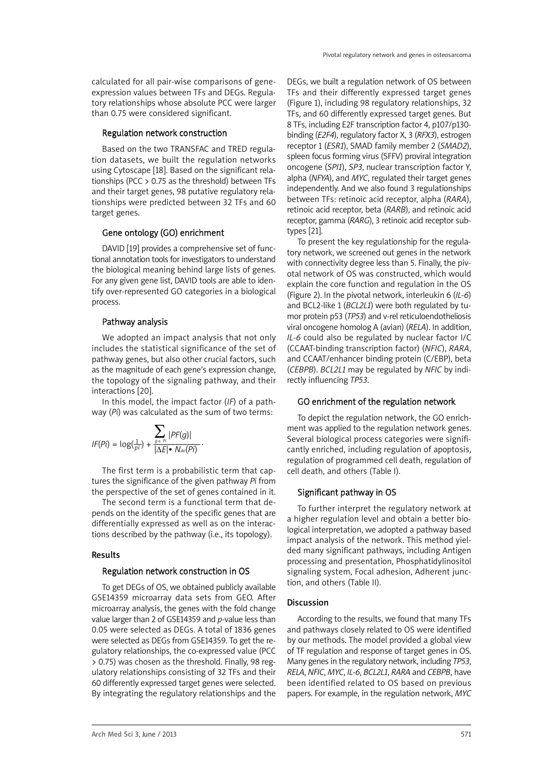calculated for all pair-wise comparisons of geneexpression values between TFs and DEGs. Regulatory relationships whose absolute PCC were larger than 0.75 were considered significant.

#### Regulation network construction

Based on the two TRANSFAC and TRED regulation datasets, we built the regulation networks using Cytoscape [18]. Based on the significant relationships (PCC > 0.75 as the threshold) between TFs and their target genes, 98 putative regulatory relationships were predicted between 32 TFs and 60 target genes.

# Gene ontology (GO) enrichment

DAVID [19] provides a comprehensive set of functional annotation tools for investigators to understand the biological meaning behind large lists of genes. For any given gene list, DAVID tools are able to identify over-represented GO categories in a biological process.

#### Pathway analysis

We adopted an impact analysis that not only includes the statistical significance of the set of pathway genes, but also other crucial factors, such as the magnitude of each gene's expression change, the topology of the signaling pathway, and their interactions [20].

In this model, the impact factor (*IF*) of a pathway (*Pi*) was calculated as the sum of two terms:

$$
IF(Pi) = \log(\frac{1}{pi}) + \frac{\sum_{g \in Pl} |PF(g)|}{|\Delta E| \cdot N_{de}(Pi)}.
$$

The first term is a probabilistic term that captures the significance of the given pathway *Pi* from the perspective of the set of genes contained in it.

The second term is a functional term that depends on the identity of the specific genes that are differentially expressed as well as on the interactions described by the pathway (i.e., its topology).

#### Results

#### Regulation network construction in OS

To get DEGs of OS, we obtained publicly available GSE14359 microarray data sets from GEO. After microarray analysis, the genes with the fold change value larger than 2 of GSE14359 and *p*-value less than 0.05 were selected as DEGs. A total of 1836 genes were selected as DEGs from GSE14359. To get the regulatory relationships, the co-expressed value (PCC > 0.75) was chosen as the threshold. Finally, 98 regulatory relationships consisting of 32 TFs and their 60 differently expressed target genes were selected. By integrating the regulatory relationships and the

DEGs, we built a regulation network of OS between TFs and their differently expressed target genes (Figure 1), including 98 regulatory relationships, 32 TFs, and 60 differently expressed target genes. But 8 TFs, including E2F transcription factor 4, p107/p130 binding (*E2F4*), regulatory factor X, 3 (*RFX3*), estrogen receptor 1 (*ESR1*), SMAD family member 2 (*SMAD2*), spleen focus forming virus (SFFV) proviral integration oncogene (*SPI1*), *SP3*, nuclear transcription factor Y, alpha (*NFYA*), and *MYC*, regulated their target genes independently. And we also found 3 regulationships between TFs: retinoic acid receptor, alpha (*RARA*), retinoic acid receptor, beta (*RARB*), and retinoic acid receptor, gamma (*RARG*), 3 retinoic acid receptor subtypes [21].

To present the key regulationship for the regulatory network, we screened out genes in the network with connectivity degree less than 5. Finally, the pivotal network of OS was constructed, which would explain the core function and regulation in the OS (Figure 2). In the pivotal network, interleukin 6 (*IL-6*) and BCL2-like 1 (*BCL2L1*) were both regulated by tumor protein p53 (*TP53*) and v-rel reticuloendotheliosis viral oncogene homolog A (avian) (*RELA*). In addition, *IL-6* could also be regulated by nuclear factor I/C (CCAAT-binding transcription factor) (*NFIC*), *RARA*, and CCAAT/enhancer binding protein (C/EBP), beta (*CEBPB*). *BCL2L1* may be regulated by *NFIC* by indirectly influencing *TP53*.

# GO enrichment of the regulation network

To depict the regulation network, the GO enrichment was applied to the regulation network genes. Several biological process categories were significantly enriched, including regulation of apoptosis, regulation of programmed cell death, regulation of cell death, and others (Table I).

# Significant pathway in OS

To further interpret the regulatory network at a higher regulation level and obtain a better biological interpretation, we adopted a pathway based impact analysis of the network. This method yielded many significant pathways, including Antigen processing and presentation, Phosphatidylinositol signaling system, Focal adhesion, Adherent junction, and others (Table II).

# Discussion

According to the results, we found that many TFs and pathways closely related to OS were identified by our methods. The model provided a global view of TF regulation and response of target genes in OS. Many genes in the regulatory network, including *TP53*, *RELA*, *NFIC*, *MYC*, *IL-6*, *BCL2L1*, *RARA* and *CEBPB*, have been identified related to OS based on previous papers. For example, in the regulation network, *MYC*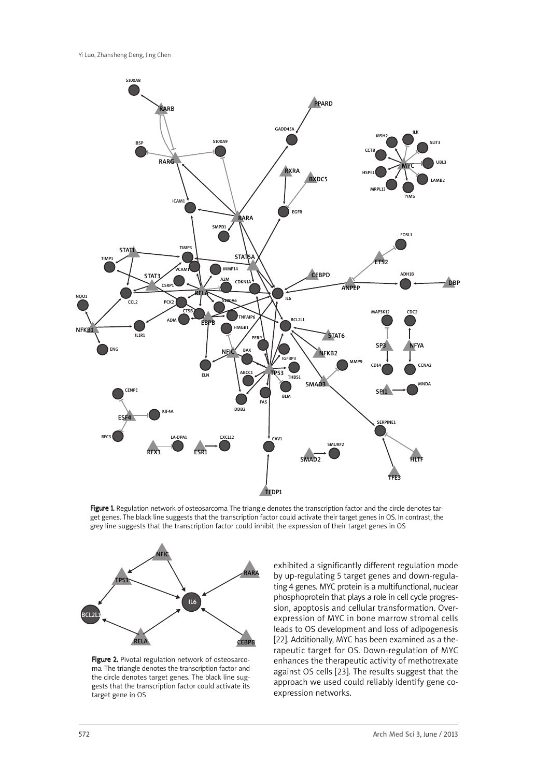

Figure 1. Regulation network of osteosarcoma The triangle denotes the transcription factor and the circle denotes target genes. The black line suggests that the transcription factor could activate their target genes in OS. In contrast, the grey line suggests that the transcription factor could inhibit the expression of their target genes in OS



Figure 2. Pivotal regulation network of osteosarcoma. The triangle denotes the transcription factor and the circle denotes target genes. The black line suggests that the transcription factor could activate its target gene in OS

exhibited a significantly different regulation mode by up-regulating 5 target genes and down-regulating 4 genes. MYC protein is a multifunctional, nuclear phosphoprotein that plays a role in cell cycle progression, apoptosis and cellular transformation. Overexpression of MYC in bone marrow stromal cells leads to OS development and loss of adipogenesis [22]. Additionally, MYC has been examined as a therapeutic target for OS. Down-regulation of MYC enhances the therapeutic activity of methotrexate against OS cells [23]. The results suggest that the approach we used could reliably identify gene coexpression networks.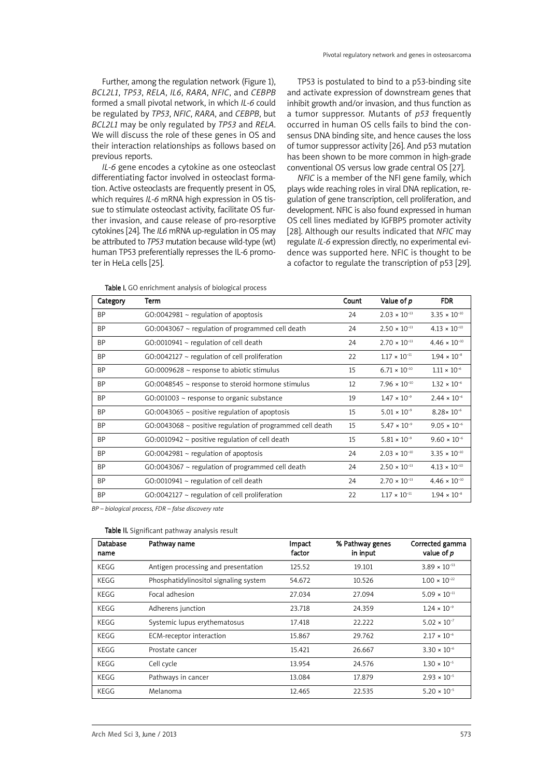Further, among the regulation network (Figure 1), *BCL2L1*, *TP53*, *RELA*, *IL6*, *RARA*, *NFIC*, and *CEBPB* formed a small pivotal network, in which *IL-6* could be regulated by *TP53*, *NFIC*, *RARA*, and *CEBPB*, but *BCL2L1* may be only regulated by *TP53* and *RELA*. We will discuss the role of these genes in OS and their interaction relationships as follows based on previous reports.

*IL-6* gene encodes a cytokine as one osteoclast differentiating factor involved in osteoclast formation. Active osteoclasts are frequently present in OS, which requires *IL-6* mRNA high expression in OS tissue to stimulate osteoclast activity, facilitate OS further invasion, and cause release of pro-resorptive cytokines [24]. The *IL6* mRNA up-regulation in OS may be attributed to *TP53* mutation because wild-type (wt) human TP53 preferentially represses the IL-6 promoter in HeLa cells [25].

TP53 is postulated to bind to a p53-binding site and activate expression of downstream genes that inhibit growth and/or invasion, and thus function as a tumor suppressor. Mutants of *p53* frequently occurred in human OS cells fails to bind the consensus DNA binding site, and hence causes the loss of tumor suppressor activity [26]. And p53 mutation has been shown to be more common in high-grade conventional OS versus low grade central OS [27].

*NFIC* is a member of the NFI gene family, which plays wide reaching roles in viral DNA replication, regulation of gene transcription, cell proliferation, and development. NFIC is also found expressed in human OS cell lines mediated by IGFBP5 promoter activity [28]. Although our results indicated that *NFIC* may regulate *IL-6* expression directly, no experimental evidence was supported here. NFIC is thought to be a cofactor to regulate the transcription of p53 [29].

Table I. GO enrichment analysis of biological process

| Category  | Term                                                           | Count | Value of p             | <b>FDR</b>             |
|-----------|----------------------------------------------------------------|-------|------------------------|------------------------|
| <b>BP</b> | $GO:0042981 \sim$ regulation of apoptosis                      | 24    | $2.03 \times 10^{-13}$ | $3.35 \times 10^{-10}$ |
| <b>BP</b> | $GO:0043067 \sim$ regulation of programmed cell death          | 24    | $2.50 \times 10^{-13}$ | $4.13 \times 10^{-10}$ |
| <b>BP</b> | $GO:0010941 \sim$ regulation of cell death                     | 24    | $2.70 \times 10^{-13}$ | $4.46 \times 10^{-10}$ |
| <b>BP</b> | $GO:0042127 \sim$ regulation of cell proliferation             | 22    | $1.17 \times 10^{-11}$ | $1.94 \times 10^{-8}$  |
| <b>BP</b> | $GO:0009628 \sim$ response to abiotic stimulus                 | 15    | $6.71 \times 10^{-10}$ | $1.11 \times 10^{-6}$  |
| <b>BP</b> | $GO:0048545$ ~ response to steroid hormone stimulus            | 12    | $7.96 \times 10^{-10}$ | $1.32 \times 10^{-6}$  |
| <b>BP</b> | $GO:001003$ ~ response to organic substance                    | 19    | $1.47 \times 10^{-9}$  | $2.44 \times 10^{-6}$  |
| <b>BP</b> | $GO:0043065$ ~ positive regulation of apoptosis                | 15    | $5.01 \times 10^{-9}$  | $8.28 \times 10^{-6}$  |
| <b>BP</b> | $GO:0043068 \sim$ positive regulation of programmed cell death | 15    | $5.47 \times 10^{-9}$  | $9.05 \times 10^{-6}$  |
| <b>BP</b> | $GO:0010942 \sim$ positive regulation of cell death            | 15    | $5.81 \times 10^{-9}$  | $9.60 \times 10^{-6}$  |
| <b>BP</b> | $GO:0042981 \sim$ regulation of apoptosis                      | 24    | $2.03 \times 10^{-10}$ | $3.35 \times 10^{-10}$ |
| <b>BP</b> | $GO:0043067 \sim$ regulation of programmed cell death          | 24    | $2.50 \times 10^{-13}$ | $4.13 \times 10^{-10}$ |
| <b>BP</b> | $GO:0010941 \sim$ regulation of cell death                     | 24    | $2.70 \times 10^{-13}$ | $4.46 \times 10^{-10}$ |
| <b>BP</b> | $GO:0042127 \sim$ regulation of cell proliferation             | 22    | $1.17 \times 10^{-11}$ | $1.94 \times 10^{-8}$  |

*BP – biological process, FDR – false discovery rate*

| Database<br>name | Pathway name                          | Impact<br>factor | % Pathway genes<br>in input | Corrected gamma<br>value of p |
|------------------|---------------------------------------|------------------|-----------------------------|-------------------------------|
| KEGG             | Antigen processing and presentation   | 125.52           | 19.101                      | $3.89 \times 10^{-53}$        |
| KEGG             | Phosphatidylinositol signaling system | 54.672           | 10.526                      | $1.00 \times 10^{-22}$        |
| KEGG             | Focal adhesion                        | 27.034           | 27.094                      | $5.09 \times 10^{-11}$        |
| KEGG             | Adherens junction                     | 23.718           | 24.359                      | $1.24 \times 10^{-9}$         |
| KEGG             | Systemic lupus erythematosus          | 17.418           | 22.222                      | $5.02 \times 10^{-7}$         |
| KEGG             | ECM-receptor interaction              | 15.867           | 29.762                      | $2.17 \times 10^{-6}$         |
| KEGG             | Prostate cancer                       | 15.421           | 26.667                      | $3.30 \times 10^{-6}$         |
| KEGG             | Cell cycle                            | 13.954           | 24.576                      | $1.30 \times 10^{-5}$         |
| KEGG             | Pathways in cancer                    | 13.084           | 17.879                      | $2.93 \times 10^{-5}$         |
| KEGG             | Melanoma                              | 12.465           | 22.535                      | $5.20 \times 10^{-5}$         |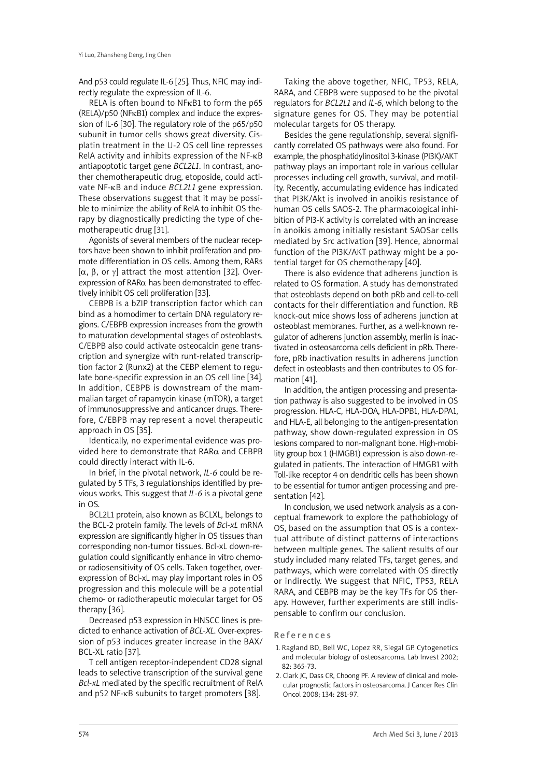And p53 could regulate IL-6 [25]. Thus, NFIC may indirectly regulate the expression of IL-6.

RELA is often bound to NFκB1 to form the p65 (RELA)/p50 (NFκB1) complex and induce the expression of IL-6 [30]. The regulatory role of the p65/p50 subunit in tumor cells shows great diversity. Cisplatin treatment in the U-2 OS cell line represses RelA activity and inhibits expression of the NF-κB antiapoptotic target gene *BCL2L1*. In contrast, another chemotherapeutic drug, etoposide, could activate NF-κB and induce *BCL2L1* gene expression. These observations suggest that it may be possible to minimize the ability of RelA to inhibit OS therapy by diagnostically predicting the type of chemotherapeutic drug [31].

Agonists of several members of the nuclear receptors have been shown to inhibit proliferation and promote differentiation in OS cells. Among them, RARs [α, β, or γ] attract the most attention [32]. Overexpression of RARα has been demonstrated to effectively inhibit OS cell proliferation [33].

CEBPB is a bZIP transcription factor which can bind as a homodimer to certain DNA regulatory regions. C/EBPB expression increases from the growth to maturation developmental stages of osteoblasts. C/EBPB also could activate osteocalcin gene transcription and synergize with runt-related transcription factor 2 (Runx2) at the CEBP element to regulate bone-specific expression in an OS cell line [34]. In addition, CEBPB is downstream of the mammalian target of rapamycin kinase (mTOR), a target of immunosuppressive and anticancer drugs. Therefore, C/EBPB may represent a novel therapeutic approach in OS [35].

Identically, no experimental evidence was provided here to demonstrate that RARα and CEBPB could directly interact with IL-6.

In brief, in the pivotal network, *IL-6* could be regulated by 5 TFs, 3 regulationships identified by previous works. This suggest that *IL-6* is a pivotal gene in OS.

BCL2L1 protein, also known as BCLXL, belongs to the BCL-2 protein family. The levels of *Bcl-xL* mRNA expression are significantly higher in OS tissues than corresponding non-tumor tissues. Bcl-xL down-regulation could significantly enhance in vitro chemoor radiosensitivity of OS cells. Taken together, overexpression of Bcl-xL may play important roles in OS progression and this molecule will be a potential chemo- or radiotherapeutic molecular target for OS therapy [36].

Decreased p53 expression in HNSCC lines is predicted to enhance activation of *BCL-XL*. Over-expression of p53 induces greater increase in the BAX/ BCL-XL ratio [37].

T cell antigen receptor-independent CD28 signal leads to selective transcription of the survival gene *Bcl-xL* mediated by the specific recruitment of RelA and p52 NF-κB subunits to target promoters [38].

Taking the above together, NFIC, TP53, RELA, RARA, and CEBPB were supposed to be the pivotal regulators for *BCL2L1* and *IL-6*, which belong to the signature genes for OS. They may be potential molecular targets for OS therapy.

Besides the gene regulationship, several significantly correlated OS pathways were also found. For example, the phosphatidylinositol 3-kinase (PI3K)/AKT pathway plays an important role in various cellular processes including cell growth, survival, and motility. Recently, accumulating evidence has indicated that PI3K/Akt is involved in anoikis resistance of human OS cells SAOS-2. The pharmacological inhibition of PI3-K activity is correlated with an increase in anoikis among initially resistant SAOSar cells mediated by Src activation [39]. Hence, abnormal function of the PI3K/AKT pathway might be a potential target for OS chemotherapy [40].

There is also evidence that adherens junction is related to OS formation. A study has demonstrated that osteoblasts depend on both pRb and cell-to-cell contacts for their differentiation and function. RB knock-out mice shows loss of adherens junction at osteoblast membranes. Further, as a well-known regulator of adherens junction assembly, merlin is inactivated in osteosarcoma cells deficient in pRb. Therefore, pRb inactivation results in adherens junction defect in osteoblasts and then contributes to OS formation [41].

In addition, the antigen processing and presentation pathway is also suggested to be involved in OS progression. HLA-C, HLA-DOA, HLA-DPB1, HLA-DPA1, and HLA-E, all belonging to the antigen-presentation pathway, show down-regulated expression in OS lesions compared to non-malignant bone. High-mobility group box 1 (HMGB1) expression is also down-regulated in patients. The interaction of HMGB1 with Toll-like receptor 4 on dendritic cells has been shown to be essential for tumor antigen processing and presentation [42].

In conclusion, we used network analysis as a conceptual framework to explore the pathobiology of OS, based on the assumption that OS is a contextual attribute of distinct patterns of interactions between multiple genes. The salient results of our study included many related TFs, target genes, and pathways, which were correlated with OS directly or indirectly. We suggest that NFIC, TP53, RELA RARA, and CEBPB may be the key TFs for OS therapy. However, further experiments are still indispensable to confirm our conclusion.

#### **References**

- 1. Ragland BD, Bell WC, Lopez RR, Siegal GP. Cytogenetics and molecular biology of osteosarcoma. Lab Invest 2002; 82: 365-73.
- 2. Clark JC, Dass CR, Choong PF. A review of clinical and molecular prognostic factors in osteosarcoma. J Cancer Res Clin Oncol 2008; 134: 281-97.